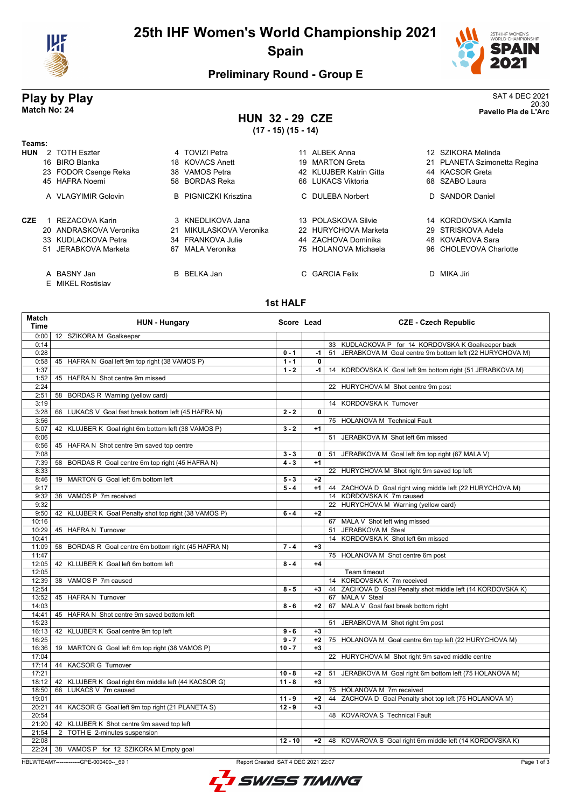

# **25th IHF Women's World Championship 2021 Spain**



20:30 **Match No: 24 Pavello Pla de L'Arc**

# **Preliminary Round - Group E**

# **Play by Play**<br>Match No: 24 **SAT 4 DEC 2021**<br>Pavello Pla de L'Arc

## **HUN 32 - 29 CZE (17 - 15) (15 - 14)**

| Teams:     |                                  |     |                              |    |                         |                              |
|------------|----------------------------------|-----|------------------------------|----|-------------------------|------------------------------|
| <b>HUN</b> | 2 TOTH Eszter                    |     | 4 TOVIZI Petra               | 11 | ALBEK Anna              | 12 SZIKORA Melinda           |
|            | 16 BIRO Blanka                   |     | 18 KOVACS Anett              | 19 | <b>MARTON Greta</b>     | 21 PLANETA Szimonetta Regina |
|            | 23 FODOR Csenge Reka             | 38. | VAMOS Petra                  |    | 42 KLUJBER Katrin Gitta | 44 KACSOR Greta              |
|            | 45 HAFRA Noemi                   |     | 58 BORDAS Reka               |    | 66 LUKACS Viktoria      | 68 SZABO Laura               |
|            | A VLAGYIMIR Golovin              |     | <b>B</b> PIGNICZKI Krisztina |    | C DULEBA Norbert        | D SANDOR Daniel              |
| CZE        | REZACOVA Karin                   |     | 3 KNEDLIKOVA Jana            |    | 13 POLASKOVA Silvie     | 14 KORDOVSKA Kamila          |
|            | 20 ANDRASKOVA Veronika           | 21  | MIKULASKOVA Veronika         |    | 22 HURYCHOVA Marketa    | 29 STRISKOVA Adela           |
|            | 33 KUDLACKOVA Petra              |     | 34 FRANKOVA Julie            |    | 44 ZACHOVA Dominika     | 48 KOVAROVA Sara             |
|            | 51 JERABKOVA Marketa             | 67  | MALA Veronika                |    | 75 HOLANOVA Michaela    | 96 CHOLEVOVA Charlotte       |
|            | A BASNY Jan<br>E MIKEL Rostislav |     | B BELKA Jan                  | C. | <b>GARCIA Felix</b>     | D MIKA Jiri                  |

#### **1st HALF**

| <b>Match</b><br><b>Time</b> | <b>HUN - Hungary</b>                                    | Score Lead |              | <b>CZE - Czech Republic</b>                                 |
|-----------------------------|---------------------------------------------------------|------------|--------------|-------------------------------------------------------------|
| 0:00                        | 12 SZIKORA M Goalkeeper                                 |            |              |                                                             |
| 0:14                        |                                                         |            |              | 33 KUDLACKOVA P for 14 KORDOVSKA K Goalkeeper back          |
| 0:28                        |                                                         | $0 - 1$    | $-1$         | 51 JERABKOVA M Goal centre 9m bottom left (22 HURYCHOVA M)  |
| 0:58                        | 45 HAFRA N Goal left 9m top right (38 VAMOS P)          | $1 - 1$    | 0            |                                                             |
| 1:37                        |                                                         | $1 - 2$    | $-1$         | 14 KORDOVSKA K Goal left 9m bottom right (51 JERABKOVA M)   |
| 1:52                        | 45 HAFRA N Shot centre 9m missed                        |            |              |                                                             |
| 2:24                        |                                                         |            |              | 22 HURYCHOVA M Shot centre 9m post                          |
| 2:51                        | 58 BORDAS R Warning (yellow card)                       |            |              |                                                             |
| 3:19                        |                                                         |            |              | 14 KORDOVSKA K Turnover                                     |
| 3:28                        | LUKACS V Goal fast break bottom left (45 HAFRA N)<br>66 | $2 - 2$    | 0            |                                                             |
| 3:56                        |                                                         |            |              | 75 HOLANOVA M Technical Fault                               |
| 5:07                        | 42 KLUJBER K Goal right 6m bottom left (38 VAMOS P)     | $3 - 2$    | $+1$         |                                                             |
| 6:06                        |                                                         |            |              | 51 JERABKOVA M Shot left 6m missed                          |
| 6:56                        | 45 HAFRA N Shot centre 9m saved top centre              |            |              |                                                             |
| 7:08                        |                                                         | $3 - 3$    | $\mathbf{0}$ | JERABKOVA M Goal left 6m top right (67 MALA V)<br>51        |
| 7:39                        | BORDAS R Goal centre 6m top right (45 HAFRA N)<br>58    | $4 - 3$    | $+1$         |                                                             |
| 8:33                        |                                                         |            |              | 22 HURYCHOVA M Shot right 9m saved top left                 |
| 8:46                        | 19 MARTON G Goal left 6m bottom left                    | $5 - 3$    | $+2$         |                                                             |
| 9:17                        |                                                         | $5 - 4$    | $+1$         | 44 ZACHOVA D Goal right wing middle left (22 HURYCHOVA M)   |
| 9:32                        | 38 VAMOS P 7m received                                  |            |              | 14 KORDOVSKA K 7m caused                                    |
| 9:32                        |                                                         |            |              | 22 HURYCHOVA M Warning (yellow card)                        |
| 9:50                        | 42 KLUJBER K Goal Penalty shot top right (38 VAMOS P)   | $6 - 4$    | $+2$         |                                                             |
| 10:16                       |                                                         |            |              | 67 MALA V Shot left wing missed                             |
| 10:29                       | 45 HAFRA N Turnover                                     |            |              | 51 JERABKOVA M Steal                                        |
| 10:41                       |                                                         |            |              | 14 KORDOVSKA K Shot left 6m missed                          |
| 11:09                       | 58 BORDAS R Goal centre 6m bottom right (45 HAFRA N)    | $7 - 4$    | $+3$         |                                                             |
| 11:47                       |                                                         |            |              | 75 HOLANOVA M Shot centre 6m post                           |
| 12:05                       | 42 KLUJBER K Goal left 6m bottom left                   | $8 - 4$    | $+4$         |                                                             |
| 12:05                       |                                                         |            |              | Team timeout                                                |
| 12:39                       | VAMOS P 7m caused<br>38                                 |            |              | 14 KORDOVSKA K 7m received                                  |
| 12:54                       |                                                         | $8 - 5$    | $+3$         | 44 ZACHOVA D Goal Penalty shot middle left (14 KORDOVSKA K) |
| 13:52                       | 45 HAFRA N Turnover                                     |            |              | 67 MALA V Steal                                             |
| 14:03                       |                                                         | $8 - 6$    | $+2$         | 67 MALA V Goal fast break bottom right                      |
| 14:41                       | 45 HAFRA N Shot centre 9m saved bottom left             |            |              |                                                             |
| 15:23                       |                                                         |            |              | 51 JERABKOVA M Shot right 9m post                           |
| 16:13                       | 42 KLUJBER K Goal centre 9m top left                    | $9 - 6$    | $+3$         |                                                             |
| 16:25                       |                                                         | $9 - 7$    | $+2$         | 75 HOLANOVA M Goal centre 6m top left (22 HURYCHOVA M)      |
| 16:36                       | 19 MARTON G Goal left 6m top right (38 VAMOS P)         | $10 - 7$   | $+3$         |                                                             |
| 17:04                       |                                                         |            |              | 22 HURYCHOVA M Shot right 9m saved middle centre            |
| 17:14                       | 44 KACSOR G Turnover                                    |            |              |                                                             |
| 17:21                       |                                                         | $10 - 8$   | $+2$         | JERABKOVA M Goal right 6m bottom left (75 HOLANOVA M)<br>51 |
| 18:12                       | 42 KLUJBER K Goal right 6m middle left (44 KACSOR G)    | $11 - 8$   | $+3$         |                                                             |
| 18:50                       | 66 LUKACS V 7m caused                                   |            |              | 75 HOLANOVA M 7m received                                   |
| 19:01                       |                                                         | $11 - 9$   | $+2$         | 44 ZACHOVA D Goal Penalty shot top left (75 HOLANOVA M)     |
| 20:21                       | 44 KACSOR G Goal left 9m top right (21 PLANETA S)       | $12 - 9$   | $+3$         |                                                             |
| 20:54                       |                                                         |            |              | 48 KOVAROVA S Technical Fault                               |
| 21:20                       | 42 KLUJBER K Shot centre 9m saved top left              |            |              |                                                             |
| 21:54                       | 2 TOTH E 2-minutes suspension                           |            |              |                                                             |
| 22:08                       |                                                         | $12 - 10$  | $+2$         | 48 KOVAROVA S Goal right 6m middle left (14 KORDOVSKA K)    |
| 22:24                       | 38 VAMOS P for 12 SZIKORA M Empty goal                  |            |              |                                                             |

HBLWTEAM7-------------GPE-000400--\_69 1 Report Created SAT 4 DEC 2021 22:07

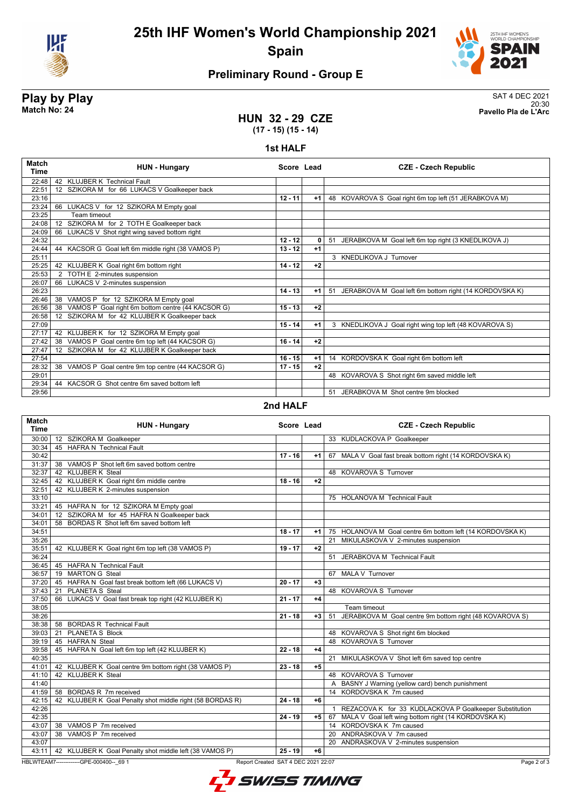



# **Preliminary Round - Group E**

**Play by Play**<br>Match No: 24 **SAT 4 DEC 2021**<br>Pavello Pla de L'Arc 20:30 **Match No: 24 Pavello Pla de L'Arc**

### **HUN 32 - 29 CZE (17 - 15) (15 - 14)**

#### **1st HALF**

| Match<br><b>Time</b> | <b>HUN - Hungary</b>                                        | Score Lead |              | <b>CZE - Czech Republic</b>                               |
|----------------------|-------------------------------------------------------------|------------|--------------|-----------------------------------------------------------|
| 22:48                | 42 KLUJBER K Technical Fault                                |            |              |                                                           |
| 22:51                | 12 SZIKORA M for 66 LUKACS V Goalkeeper back                |            |              |                                                           |
| 23:16                |                                                             | $12 - 11$  | $+1$         | 48 KOVAROVA S Goal right 6m top left (51 JERABKOVA M)     |
| 23:24                | 66 LUKACS V for 12 SZIKORA M Empty goal                     |            |              |                                                           |
| 23:25                | Team timeout                                                |            |              |                                                           |
| 24:08                | SZIKORA M for 2 TOTH E Goalkeeper back<br>$12 \overline{ }$ |            |              |                                                           |
| 24:09                | 66 LUKACS V Shot right wing saved bottom right              |            |              |                                                           |
| 24:32                |                                                             | $12 - 12$  | $\mathbf{0}$ | 51 JERABKOVA M Goal left 6m top right (3 KNEDLIKOVA J)    |
| 24:44                | 44 KACSOR G Goal left 6m middle right (38 VAMOS P)          | $13 - 12$  | $+1$         |                                                           |
| 25:11                |                                                             |            |              | 3 KNEDLIKOVA J Turnover                                   |
| 25:25                | 42 KLUJBER K Goal right 6m bottom right                     | $14 - 12$  | $+2$         |                                                           |
| 25:53                | 2 TOTH E 2-minutes suspension                               |            |              |                                                           |
| 26:07                | 66 LUKACS V 2-minutes suspension                            |            |              |                                                           |
| 26:23                |                                                             | $14 - 13$  | $+1$         | 51 JERABKOVA M Goal left 6m bottom right (14 KORDOVSKA K) |
| 26:46                | 38 VAMOS P for 12 SZIKORA M Empty goal                      |            |              |                                                           |
| 26:56                | VAMOS P Goal right 6m bottom centre (44 KACSOR G)<br>38     | $15 - 13$  | $+2$         |                                                           |
| 26:58                | SZIKORA M for 42 KLUJBER K Goalkeeper back<br>12            |            |              |                                                           |
| 27:09                |                                                             | $15 - 14$  | $+1$         | 3 KNEDLIKOVA J Goal right wing top left (48 KOVAROVA S)   |
| 27:17                | KLUJBER K for 12 SZIKORA M Empty goal<br>42                 |            |              |                                                           |
| 27:42                | VAMOS P Goal centre 6m top left (44 KACSOR G)<br>38         | $16 - 14$  | $+2$         |                                                           |
| 27:47                | 12 SZIKORA M for 42 KLUJBER K Goalkeeper back               |            |              |                                                           |
| 27:54                |                                                             | $16 - 15$  | $+1$         | 14 KORDOVSKA K Goal right 6m bottom left                  |
| 28:32                | VAMOS P Goal centre 9m top centre (44 KACSOR G)<br>38       | $17 - 15$  | $+2$         |                                                           |
| 29:01                |                                                             |            |              | 48 KOVAROVA S Shot right 6m saved middle left             |
| 29:34                | 44 KACSOR G Shot centre 6m saved bottom left                |            |              |                                                           |
| 29:56                |                                                             |            |              | 51 JERABKOVA M Shot centre 9m blocked                     |

### **2nd HALF**

| Match<br><b>Time</b> | <b>HUN - Hungary</b>                                                            |           | Score Lead | <b>CZE - Czech Republic</b>                                            |
|----------------------|---------------------------------------------------------------------------------|-----------|------------|------------------------------------------------------------------------|
| 30:00                | 12 SZIKORA M Goalkeeper                                                         |           |            | 33 KUDLACKOVA P Goalkeeper                                             |
| 30:34                | 45 HAFRA N Technical Fault                                                      |           |            |                                                                        |
| 30:42                |                                                                                 | $17 - 16$ | +1         | 67 MALA V Goal fast break bottom right (14 KORDOVSKA K)                |
| 31:37                | 38 VAMOS P Shot left 6m saved bottom centre                                     |           |            |                                                                        |
| 32:37                | 42 KLUJBER K Steal                                                              |           |            | 48 KOVAROVA S Turnover                                                 |
| 32:45                | 42 KLUJBER K Goal right 6m middle centre                                        | $18 - 16$ | $+2$       |                                                                        |
| 32:51                | 42 KLUJBER K 2-minutes suspension                                               |           |            |                                                                        |
| 33:10                |                                                                                 |           |            | 75 HOLANOVA M Technical Fault                                          |
| 33:21                | 45 HAFRA N for 12 SZIKORA M Empty goal                                          |           |            |                                                                        |
| 34:01                | 12 SZIKORA M for 45 HAFRA N Goalkeeper back                                     |           |            |                                                                        |
| 34:01                | 58 BORDAS R Shot left 6m saved bottom left                                      |           |            |                                                                        |
| 34:51                |                                                                                 | $18 - 17$ | $+1$       | 75 HOLANOVA M Goal centre 6m bottom left (14 KORDOVSKA K)              |
| 35:26                |                                                                                 |           |            | 21 MIKULASKOVA V 2-minutes suspension                                  |
| 35:51                | 42 KLUJBER K Goal right 6m top left (38 VAMOS P)                                | $19 - 17$ | $+2$       |                                                                        |
| 36:24                |                                                                                 |           |            | 51 JERABKOVA M Technical Fault                                         |
|                      | 36:45 45 HAFRA N Technical Fault                                                |           |            |                                                                        |
| 36:57                | 19 MARTON G Steal                                                               |           |            | 67 MALA V Turnover                                                     |
| 37:20                | 45 HAFRA N Goal fast break bottom left (66 LUKACS V)                            | $20 - 17$ | $+3$       |                                                                        |
| 37:43                | PLANETA S Steal<br>21                                                           |           |            | 48 KOVAROVA S Turnover                                                 |
| 37:50                | 66 LUKACS V Goal fast break top right (42 KLUJBER K)                            | $21 - 17$ | +4         |                                                                        |
| 38:05                |                                                                                 |           |            | Team timeout                                                           |
| 38:26                |                                                                                 | $21 - 18$ | $+3$       | 51 JERABKOVA M Goal centre 9m bottom right (48 KOVAROVA S)             |
| 38:38                | 58 BORDAS R Technical Fault                                                     |           |            |                                                                        |
| 39:03                | PLANETA S Block<br>21                                                           |           |            | 48 KOVAROVA S Shot right 6m blocked                                    |
| 39:19                | 45 HAFRA N Steal                                                                |           |            | 48 KOVAROVA S Turnover                                                 |
| 39:58                | 45 HAFRA N Goal left 6m top left (42 KLUJBER K)                                 | $22 - 18$ | $+4$       |                                                                        |
| 40:35                |                                                                                 |           |            | 21 MIKULASKOVA V Shot left 6m saved top centre                         |
| 41:01                | 42 KLUJBER K Goal centre 9m bottom right (38 VAMOS P)                           | $23 - 18$ | $+5$       |                                                                        |
| 41:10                | 42 KLUJBER K Steal                                                              |           |            | 48 KOVAROVA S Turnover                                                 |
| 41:40                |                                                                                 |           |            | A BASNY J Warning (yellow card) bench punishment                       |
| 41:59                | 58 BORDAS R 7m received                                                         |           |            | 14 KORDOVSKA K 7m caused                                               |
| 42:15                | 42 KLUJBER K Goal Penalty shot middle right (58 BORDAS R)                       | $24 - 18$ | +6         |                                                                        |
| 42:26                |                                                                                 |           |            | REZACOVA K for 33 KUDLACKOVA P Goalkeeper Substitution<br>$\mathbf{1}$ |
| 42:35                |                                                                                 | $24 - 19$ | +5         | 67 MALA V Goal left wing bottom right (14 KORDOVSKA K)                 |
| 43:07                | 38 VAMOS P 7m received                                                          |           |            | 14 KORDOVSKA K 7m caused                                               |
| 43:07                | 38 VAMOS P 7m received                                                          |           |            | 20 ANDRASKOVA V 7m caused                                              |
| 43:07                |                                                                                 |           |            | 20 ANDRASKOVA V 2-minutes suspension                                   |
| 43:11                | 42 KLUJBER K Goal Penalty shot middle left (38 VAMOS P)                         | $25 - 19$ | +6         |                                                                        |
|                      | HBLWTEAM7--------------GPE-000400-- 69 1<br>Report Created SAT 4 DEC 2021 22:07 |           |            | Page 2 of 3                                                            |